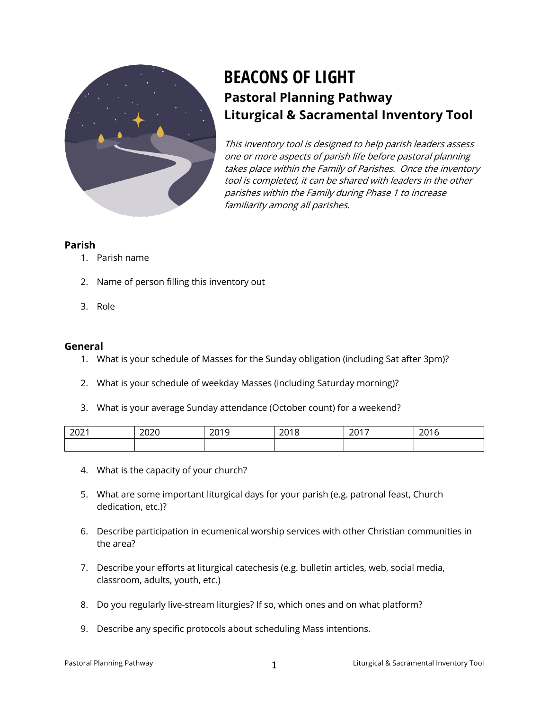

# **BEACONS OF LIGHT Pastoral Planning Pathway Liturgical & Sacramental Inventory Tool**

This inventory tool is designed to help parish leaders assess one or more aspects of parish life before pastoral planning takes place within the Family of Parishes. Once the inventory tool is completed, it can be shared with leaders in the other parishes within the Family during Phase 1 to increase familiarity among all parishes.

#### **Parish**

- 1. Parish name
- 2. Name of person filling this inventory out
- 3. Role

#### **General**

- 1. What is your schedule of Masses for the Sunday obligation (including Sat after 3pm)?
- 2. What is your schedule of weekday Masses (including Saturday morning)?
- 3. What is your average Sunday attendance (October count) for a weekend?

| 2021 | 2020 | 2019 | 201S<br>2018 | 2017<br>20 I I | 2016<br>20 I V |
|------|------|------|--------------|----------------|----------------|
|      |      |      |              |                |                |

- 4. What is the capacity of your church?
- 5. What are some important liturgical days for your parish (e.g. patronal feast, Church dedication, etc.)?
- 6. Describe participation in ecumenical worship services with other Christian communities in the area?
- 7. Describe your efforts at liturgical catechesis (e.g. bulletin articles, web, social media, classroom, adults, youth, etc.)
- 8. Do you regularly live-stream liturgies? If so, which ones and on what platform?
- 9. Describe any specific protocols about scheduling Mass intentions.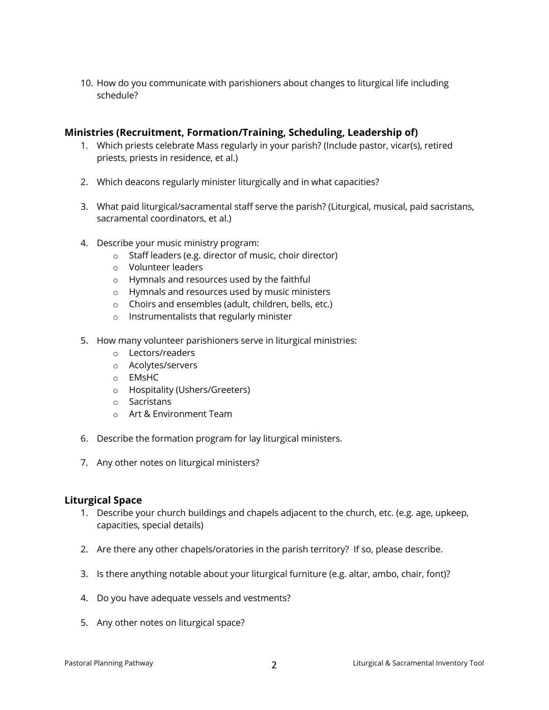10. How do you communicate with parishioners about changes to liturgical life including schedule?

## **Ministries (Recruitment, Formation/Training, Scheduling, Leadership of)**

- 1. Which priests celebrate Mass regularly in your parish? (Include pastor, vicar(s), retired priests, priests in residence, et al.)
- 2. Which deacons regularly minister liturgically and in what capacities?
- 3. What paid liturgical/sacramental staff serve the parish? (Liturgical, musical, paid sacristans, sacramental coordinators, et al.)
- 4. Describe your music ministry program:
	- o Staff leaders (e.g. director of music, choir director)
	- o Volunteer leaders
	- o Hymnals and resources used by the faithful
	- o Hymnals and resources used by music ministers
	- o Choirs and ensembles (adult, children, bells, etc.)
	- o Instrumentalists that regularly minister
- 5. How many volunteer parishioners serve in liturgical ministries:
	- o Lectors/readers
	- o Acolytes/servers
	- o EMsHC
	- o Hospitality (Ushers/Greeters)
	- o Sacristans
	- o Art & Environment Team
- 6. Describe the formation program for lay liturgical ministers.
- 7. Any other notes on liturgical ministers?

## **Liturgical Space**

- 1. Describe your church buildings and chapels adjacent to the church, etc. (e.g. age, upkeep, capacities, special details)
- 2. Are there any other chapels/oratories in the parish territory? If so, please describe.
- 3. Is there anything notable about your liturgical furniture (e.g. altar, ambo, chair, font)?
- 4. Do you have adequate vessels and vestments?
- 5. Any other notes on liturgical space?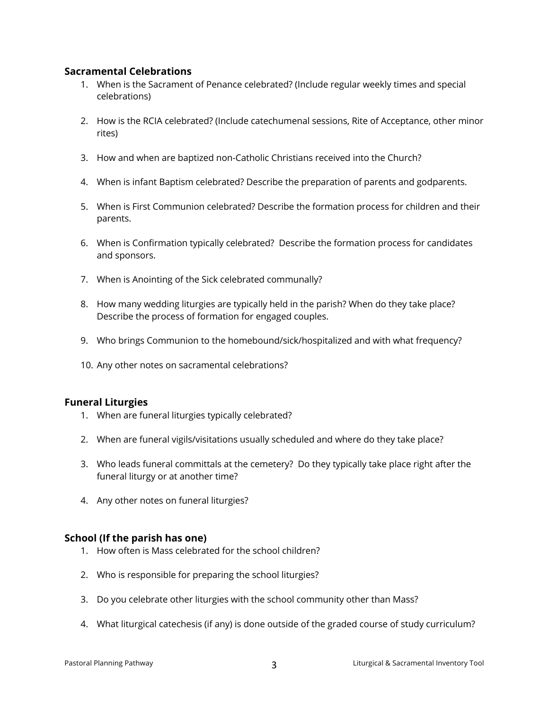## **Sacramental Celebrations**

- 1. When is the Sacrament of Penance celebrated? (Include regular weekly times and special celebrations)
- 2. How is the RCIA celebrated? (Include catechumenal sessions, Rite of Acceptance, other minor rites)
- 3. How and when are baptized non-Catholic Christians received into the Church?
- 4. When is infant Baptism celebrated? Describe the preparation of parents and godparents.
- 5. When is First Communion celebrated? Describe the formation process for children and their parents.
- 6. When is Confirmation typically celebrated? Describe the formation process for candidates and sponsors.
- 7. When is Anointing of the Sick celebrated communally?
- 8. How many wedding liturgies are typically held in the parish? When do they take place? Describe the process of formation for engaged couples.
- 9. Who brings Communion to the homebound/sick/hospitalized and with what frequency?
- 10. Any other notes on sacramental celebrations?

## **Funeral Liturgies**

- 1. When are funeral liturgies typically celebrated?
- 2. When are funeral vigils/visitations usually scheduled and where do they take place?
- 3. Who leads funeral committals at the cemetery? Do they typically take place right after the funeral liturgy or at another time?
- 4. Any other notes on funeral liturgies?

## **School (If the parish has one)**

- 1. How often is Mass celebrated for the school children?
- 2. Who is responsible for preparing the school liturgies?
- 3. Do you celebrate other liturgies with the school community other than Mass?
- 4. What liturgical catechesis (if any) is done outside of the graded course of study curriculum?